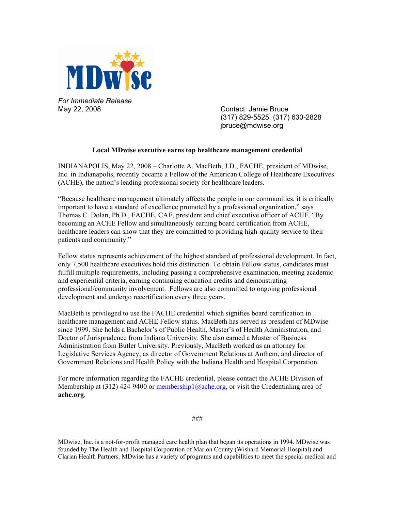

*For Immediate Release*  May 22, 2008 Contact: Jamie Bruce

 (317) 829-5525, (317) 630-2828 jbruce@mdwise.org

## **Local MDwise executive earns top healthcare management credential**

INDIANAPOLIS, May 22, 2008 – Charlotte A. MacBeth, J.D., FACHE, president of MDwise, Inc. in Indianapolis, recently became a Fellow of the American College of Healthcare Executives (ACHE), the nation's leading professional society for healthcare leaders.

"Because healthcare management ultimately affects the people in our communities, it is critically important to have a standard of excellence promoted by a professional organization," says Thomas C. Dolan, Ph.D., FACHE, CAE, president and chief executive officer of ACHE. "By becoming an ACHE Fellow and simultaneously earning board certification from ACHE, healthcare leaders can show that they are committed to providing high-quality service to their patients and community."

Fellow status represents achievement of the highest standard of professional development. In fact, only 7,500 healthcare executives hold this distinction. To obtain Fellow status, candidates must fulfill multiple requirements, including passing a comprehensive examination, meeting academic and experiential criteria, earning continuing education credits and demonstrating professional/community involvement. Fellows are also committed to ongoing professional development and undergo recertification every three years.

MacBeth is privileged to use the FACHE credential which signifies board certification in healthcare management and ACHE Fellow status. MacBeth has served as president of MDwise since 1999. She holds a Bachelor's of Public Health, Master's of Health Administration, and Doctor of Jurisprudence from Indiana University. She also earned a Master of Business Administration from Butler University. Previously, MacBeth worked as an attorney for Legislative Services Agency, as director of Government Relations at Anthem, and director of Government Relations and Health Policy with the Indiana Health and Hospital Corporation.

For more information regarding the FACHE credential, please contact the ACHE Division of Membership at  $(312)$  424-9400 or membership1@ache.org, or visit the Credentialing area of **ache.org**.

###

MDwise, Inc. is a not-for-profit managed care health plan that began its operations in 1994. MDwise was founded by The Health and Hospital Corporation of Marion County (Wishard Memorial Hospital) and Clarian Health Partners. MDwise has a variety of programs and capabilities to meet the special medical and